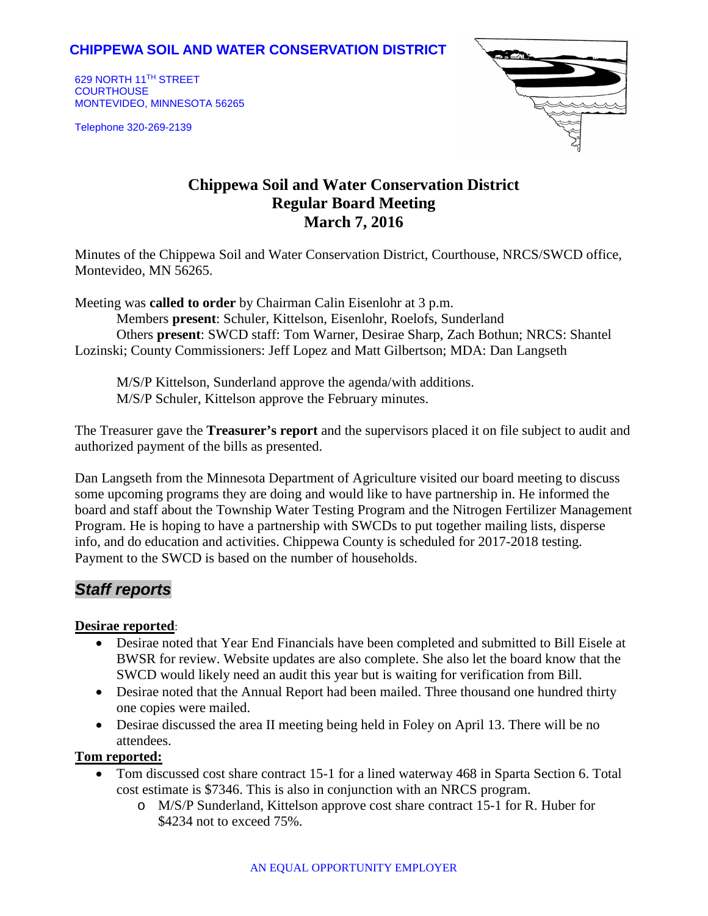### **CHIPPEWA SOIL AND WATER CONSERVATION DISTRICT**

629 NORTH 11TH STREET **COURTHOUSE** MONTEVIDEO, MINNESOTA 56265

Telephone 320-269-2139



# **Chippewa Soil and Water Conservation District Regular Board Meeting March 7, 2016**

Minutes of the Chippewa Soil and Water Conservation District, Courthouse, NRCS/SWCD office, Montevideo, MN 56265.

Meeting was **called to order** by Chairman Calin Eisenlohr at 3 p.m.

Members **present**: Schuler, Kittelson, Eisenlohr, Roelofs, Sunderland Others **present**: SWCD staff: Tom Warner, Desirae Sharp, Zach Bothun; NRCS: Shantel Lozinski; County Commissioners: Jeff Lopez and Matt Gilbertson; MDA: Dan Langseth

M/S/P Kittelson, Sunderland approve the agenda/with additions. M/S/P Schuler, Kittelson approve the February minutes.

The Treasurer gave the **Treasurer's report** and the supervisors placed it on file subject to audit and authorized payment of the bills as presented.

Dan Langseth from the Minnesota Department of Agriculture visited our board meeting to discuss some upcoming programs they are doing and would like to have partnership in. He informed the board and staff about the Township Water Testing Program and the Nitrogen Fertilizer Management Program. He is hoping to have a partnership with SWCDs to put together mailing lists, disperse info, and do education and activities. Chippewa County is scheduled for 2017-2018 testing. Payment to the SWCD is based on the number of households.

## *Staff reports*

#### **Desirae reported**:

- Desirae noted that Year End Financials have been completed and submitted to Bill Eisele at BWSR for review. Website updates are also complete. She also let the board know that the SWCD would likely need an audit this year but is waiting for verification from Bill.
- Desirae noted that the Annual Report had been mailed. Three thousand one hundred thirty one copies were mailed.
- Desirae discussed the area II meeting being held in Foley on April 13. There will be no attendees.

#### **Tom reported:**

- Tom discussed cost share contract 15-1 for a lined waterway 468 in Sparta Section 6. Total cost estimate is \$7346. This is also in conjunction with an NRCS program.
	- o M/S/P Sunderland, Kittelson approve cost share contract 15-1 for R. Huber for \$4234 not to exceed 75%.